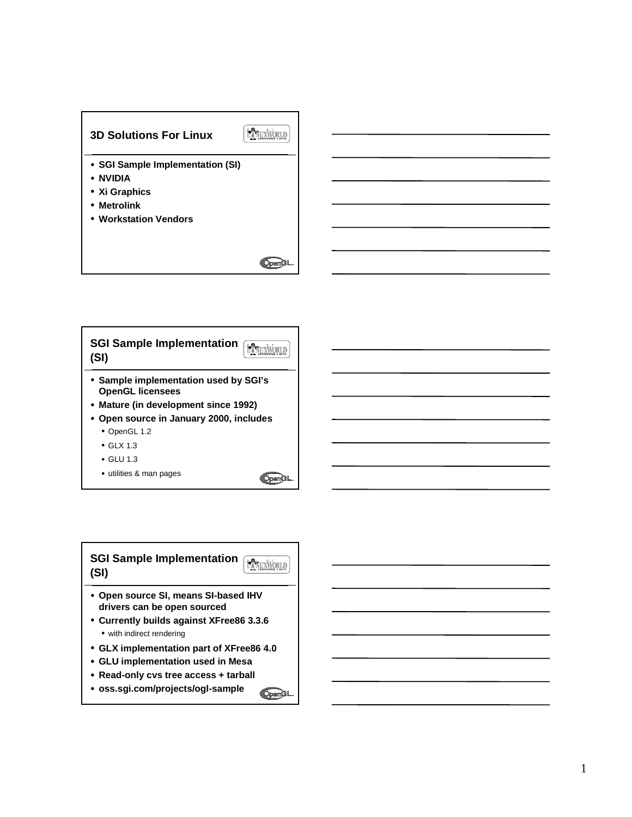



```
SGI Sample Implementation FANUXWORLD
(SI)
• Open source SI, means SI-based IHV
 drivers can be open sourced
• Currently builds against XFree86 3.3.6
  • with indirect rendering
• GLX implementation part of XFree86 4.0
• GLU implementation used in Mesa
• Read-only cvs tree access + tarball
• oss.sgi.com/projects/ogl-sampleOpenGL
```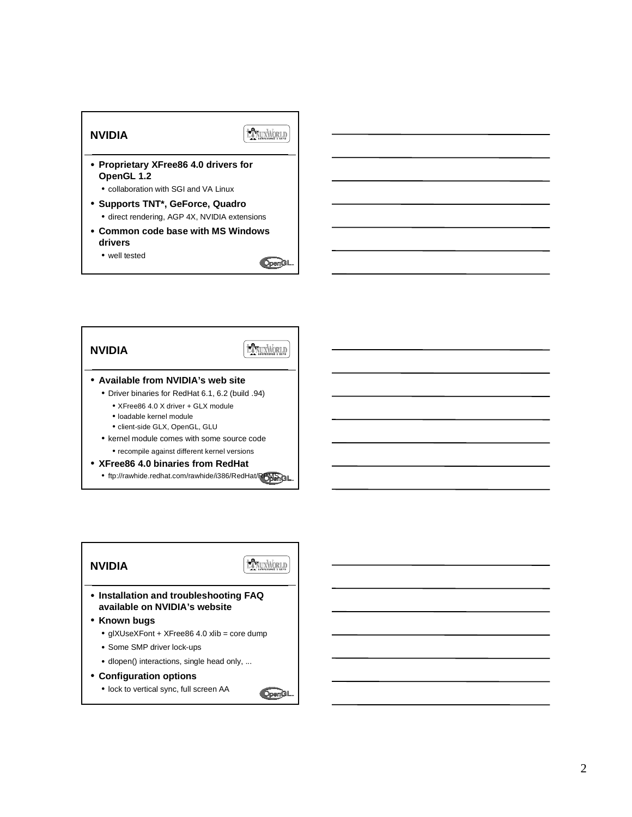

**NVIDIA**

**HANUXWORLD** 

- **Available from NVIDIA's web site**
	- Driver binaries for RedHat 6.1, 6.2 (build .94)
		- XFree86 4.0 X driver + GLX module
		- loadable kernel module
		- client-side GLX, OpenGL, GLU
	- kernel module comes with some source code
		- recompile against different kernel versions
- **XFree86 4.0 binaries from RedHat**
	- ftp://rawhide.redhat.com/rawhide/i386/RedHat/RPMSRGL



**OpenGL** 

• lock to vertical sync, full screen AA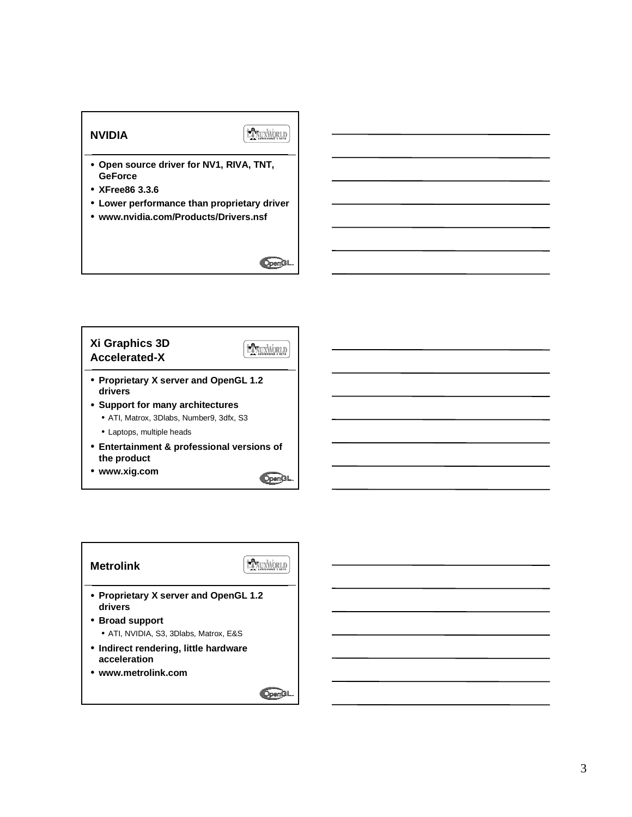### **NVIDIA**

LANUXWORLD

- **Open source driver for NV1, RIVA, TNT, GeForce**
- **XFree86 3.3.6**
- **Lower performance than proprietary driver**
- **www.nvidia.com/Products/Drivers.nsf**

# **OpenGL**

### **Xi Graphics 3D HANUXWORLD Accelerated-X** • **Proprietary X server and OpenGL 1.2 drivers** • **Support for many architectures** • ATI, Matrox, 3Dlabs, Number9, 3dfx, S3

- Laptops, multiple heads
- **Entertainment & professional versions of the product**
- **www.xig.com**



### LANUXWORLD **Metrolink** • **Proprietary X server and OpenGL 1.2 drivers** • **Broad support** • ATI, NVIDIA, S3, 3Dlabs, Matrox, E&S • **Indirect rendering, little hardware acceleration** • **www.metrolink.comOpenGL**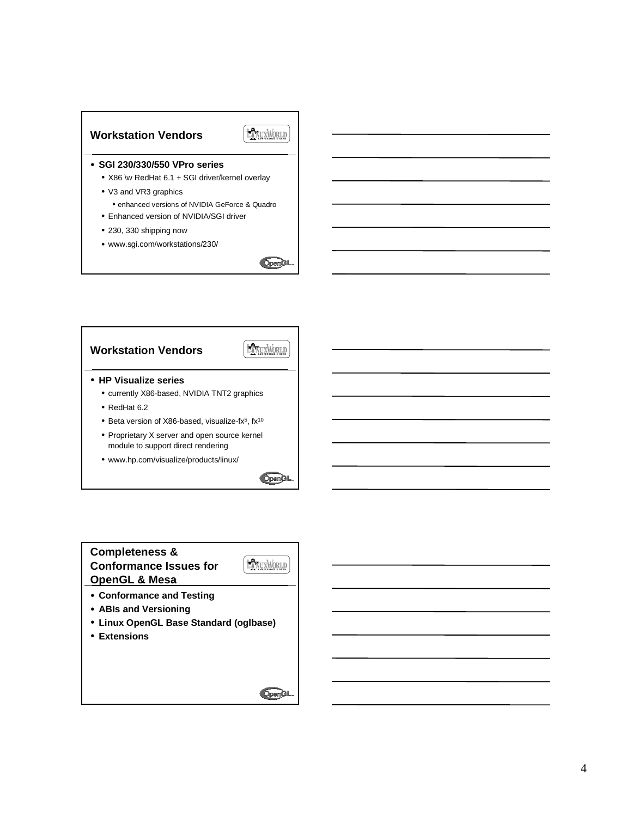



### • **SGI 230/330/550 VPro series**

- X86 \w RedHat 6.1 + SGI driver/kernel overlay
- V3 and VR3 graphics
- enhanced versions of NVIDIA GeForce & Quadro • Enhanced version of NVIDIA/SGI driver
- 
- 230, 330 shipping now
- www.sgi.com/workstations/230/







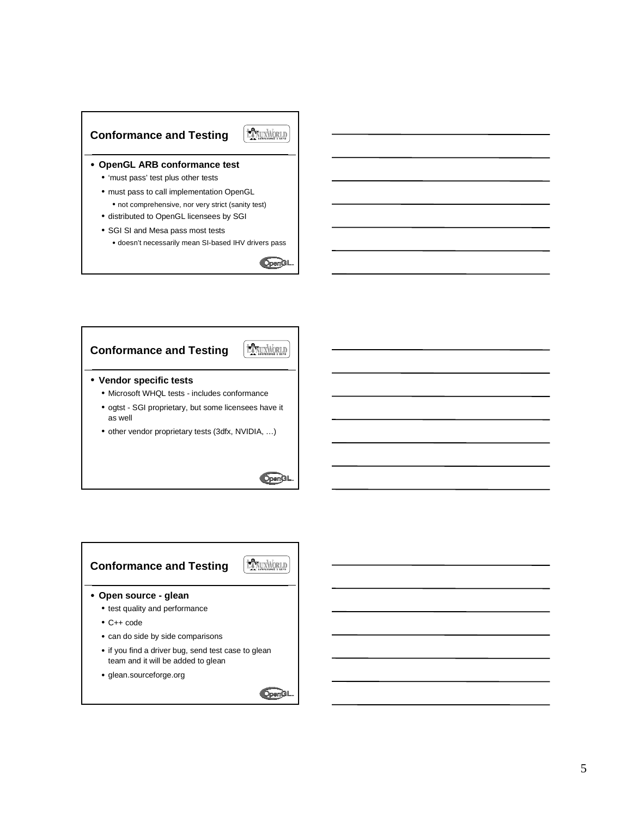#### EXTUANORIA **Conformance and Testing**

#### • **OpenGL ARB conformance test**

- 'must pass' test plus other tests
- must pass to call implementation OpenGL
- not comprehensive, nor very strict (sanity test) • distributed to OpenGL licensees by SGI
- 
- SGI SI and Mesa pass most tests • doesn't necessarily mean SI-based IHV drivers pass
	-





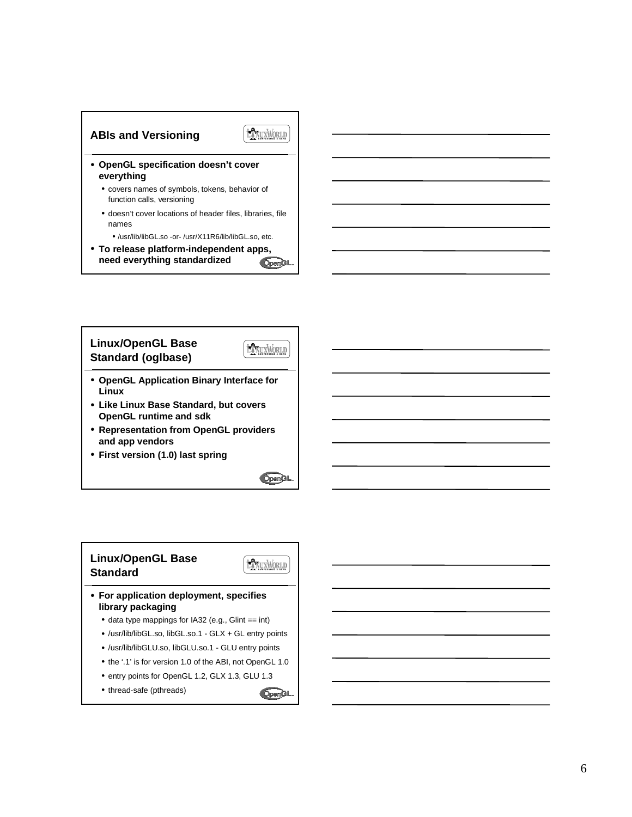



- **OpenGL specification doesn't cover everything**
	- covers names of symbols, tokens, behavior of function calls, versioning
	- doesn't cover locations of header files, libraries, file names
		- /usr/lib/libGL.so -or- /usr/X11R6/lib/libGL.so, etc.
- **To release platform-independent apps, need everything standardized** OpenGL



- **Representation from OpenGL providers and app vendors**
- **First version (1.0) last spring**

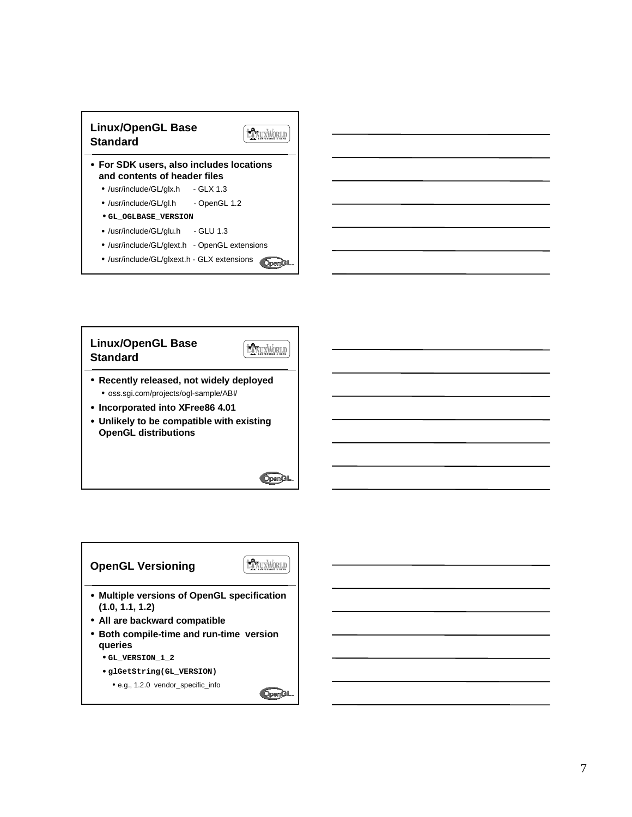



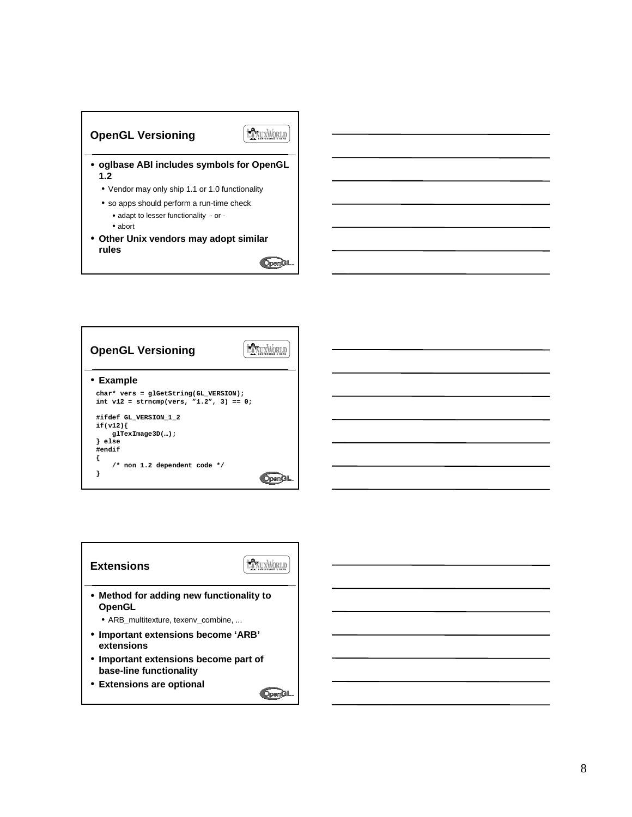



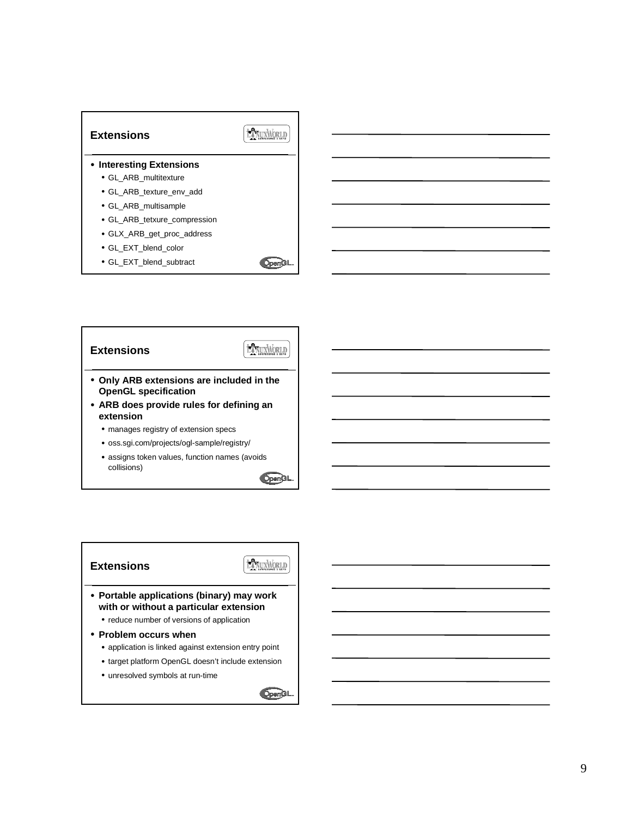

- **HANUXWORLD Extensions** • **Only ARB extensions are included in the OpenGL specification** • **ARB does provide rules for defining an extension**
	- manages registry of extension specs
	- oss.sgi.com/projects/ogl-sample/registry/
	- assigns token values, function names (avoids collisions)

OpenGL

#### **Extensions**

LANUXMORLD

- **Portable applications (binary) may work with or without a particular extension**
	- reduce number of versions of application
- **Problem occurs when**
	- application is linked against extension entry point
	- target platform OpenGL doesn't include extension
	- unresolved symbols at run-time

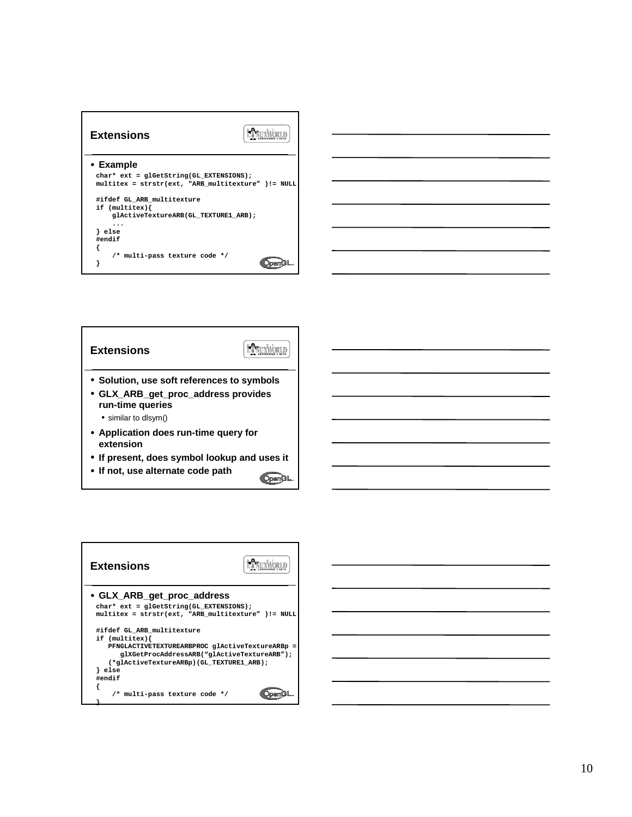



• **If not, use alternate code path** OpenGL

LANUXWORLD **Extensions** • **GLX\_ARB\_get\_proc\_address char\* ext = glGetString(GL\_EXTENSIONS); multitex = strstr(ext, "ARB\_multitexture" )!= NULL #ifdef GL\_ARB\_multitexture if (multitex){ PFNGLACTIVETEXTUREARBPROC glActiveTextureARBp = glXGetProcAddressARB("glActiveTextureARB"); (\*glActiveTextureARBp)(GL\_TEXTURE1\_ARB); } else #endif { /\* multi-pass texture code \*/** OpenGL **}**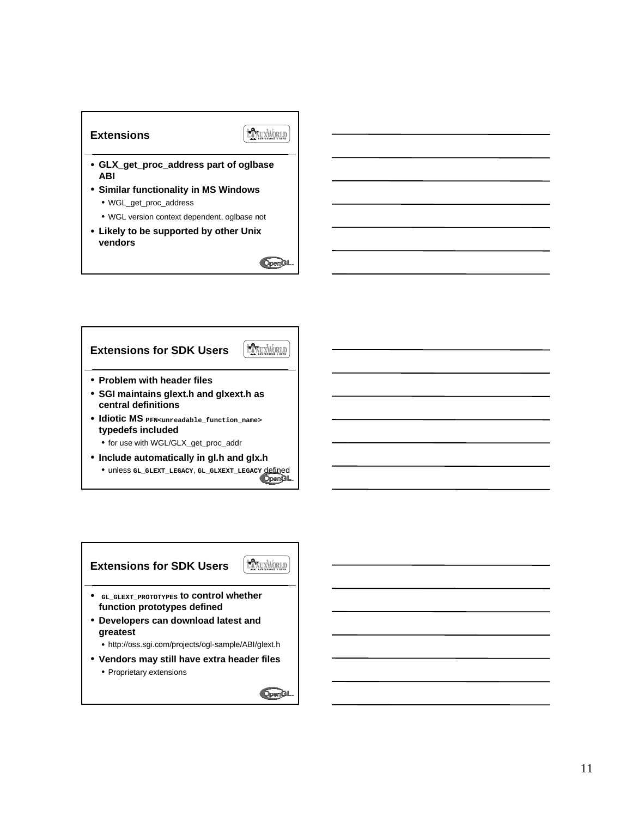### **Extensions**

### **EXNUXWORLD**

- **GLX\_get\_proc\_address part of oglbase ABI**
- **Similar functionality in MS Windows** • WGL\_get\_proc\_address
	- WGL version context dependent, oglbase not
- **Likely to be supported by other Unix vendors**



- **Include automatically in gl.h and glx.h**
- unless **GL\_GLEXT\_LEGACY**, **GL\_GLXEXT\_LEGACY** defined

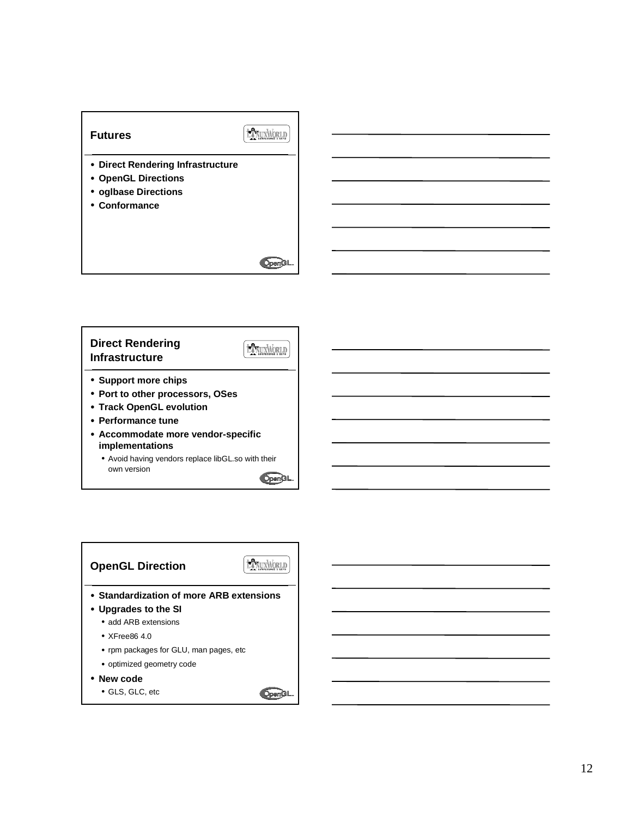#### **Futures**

## ENUXWORLD

- **Direct Rendering Infrastructure**
- **OpenGL Directions**
- **oglbase Directions**
- **Conformance**



**HANUXWORLD** 

#### **Direct Rendering Infrastructure**



- **Port to other processors, OSes**
- **Track OpenGL evolution**
- **Performance tune**
- **Accommodate more vendor-specific implementations**
	- Avoid having vendors replace libGL.so with their own version

OpenGL



• GLS, GLC, etc